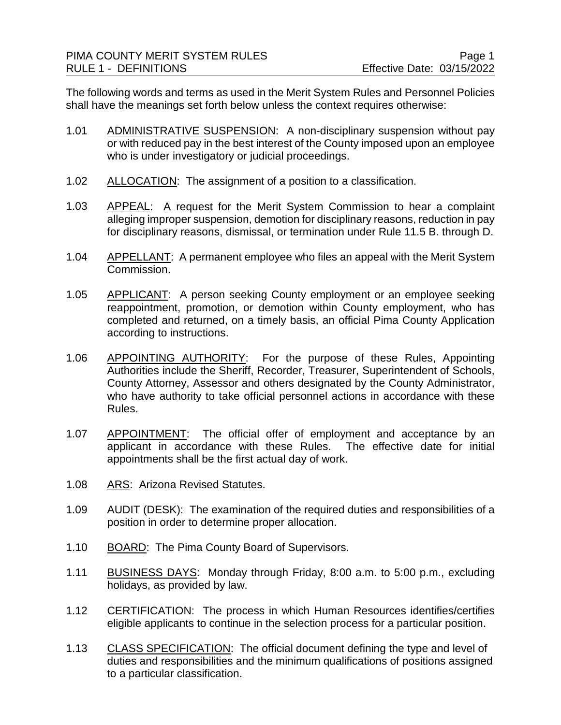The following words and terms as used in the Merit System Rules and Personnel Policies shall have the meanings set forth below unless the context requires otherwise:

- 1.01 ADMINISTRATIVE SUSPENSION: A non-disciplinary suspension without pay or with reduced pay in the best interest of the County imposed upon an employee who is under investigatory or judicial proceedings.
- 1.02 ALLOCATION: The assignment of a position to a classification.
- 1.03 APPEAL: A request for the Merit System Commission to hear a complaint alleging improper suspension, demotion for disciplinary reasons, reduction in pay for disciplinary reasons, dismissal, or termination under Rule 11.5 B. through D.
- 1.04 APPELLANT: A permanent employee who files an appeal with the Merit System Commission.
- 1.05 APPLICANT: A person seeking County employment or an employee seeking reappointment, promotion, or demotion within County employment, who has completed and returned, on a timely basis, an official Pima County Application according to instructions.
- 1.06 APPOINTING AUTHORITY: For the purpose of these Rules, Appointing Authorities include the Sheriff, Recorder, Treasurer, Superintendent of Schools, County Attorney, Assessor and others designated by the County Administrator, who have authority to take official personnel actions in accordance with these Rules.
- 1.07 APPOINTMENT: The official offer of employment and acceptance by an applicant in accordance with these Rules. The effective date for initial appointments shall be the first actual day of work.
- 1.08 ARS: Arizona Revised Statutes.
- 1.09 AUDIT (DESK): The examination of the required duties and responsibilities of a position in order to determine proper allocation.
- 1.10 BOARD: The Pima County Board of Supervisors.
- 1.11 BUSINESS DAYS: Monday through Friday, 8:00 a.m. to 5:00 p.m., excluding holidays, as provided by law.
- 1.12 CERTIFICATION: The process in which Human Resources identifies/certifies eligible applicants to continue in the selection process for a particular position.
- 1.13 CLASS SPECIFICATION: The official document defining the type and level of duties and responsibilities and the minimum qualifications of positions assigned to a particular classification.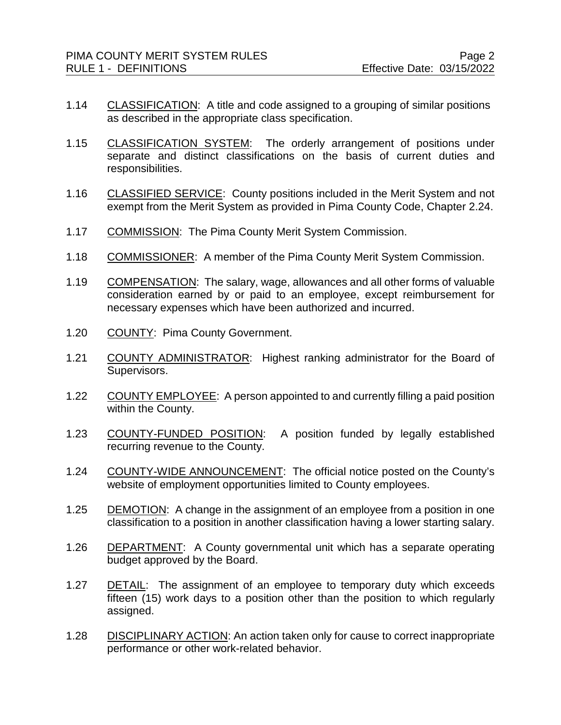- 1.14 CLASSIFICATION: A title and code assigned to a grouping of similar positions as described in the appropriate class specification.
- 1.15 CLASSIFICATION SYSTEM: The orderly arrangement of positions under separate and distinct classifications on the basis of current duties and responsibilities.
- 1.16 CLASSIFIED SERVICE: County positions included in the Merit System and not exempt from the Merit System as provided in Pima County Code, Chapter 2.24.
- 1.17 COMMISSION: The Pima County Merit System Commission.
- 1.18 COMMISSIONER: A member of the Pima County Merit System Commission.
- 1.19 COMPENSATION: The salary, wage, allowances and all other forms of valuable consideration earned by or paid to an employee, except reimbursement for necessary expenses which have been authorized and incurred.
- 1.20 COUNTY: Pima County Government.
- 1.21 COUNTY ADMINISTRATOR: Highest ranking administrator for the Board of Supervisors.
- 1.22 COUNTY EMPLOYEE: A person appointed to and currently filling a paid position within the County.
- 1.23 COUNTY-FUNDED POSITION: A position funded by legally established recurring revenue to the County.
- 1.24 COUNTY-WIDE ANNOUNCEMENT: The official notice posted on the County's website of employment opportunities limited to County employees.
- 1.25 DEMOTION: A change in the assignment of an employee from a position in one classification to a position in another classification having a lower starting salary.
- 1.26 DEPARTMENT: A County governmental unit which has a separate operating budget approved by the Board.
- 1.27 DETAIL: The assignment of an employee to temporary duty which exceeds fifteen (15) work days to a position other than the position to which regularly assigned.
- 1.28 DISCIPLINARY ACTION: An action taken only for cause to correct inappropriate performance or other work-related behavior.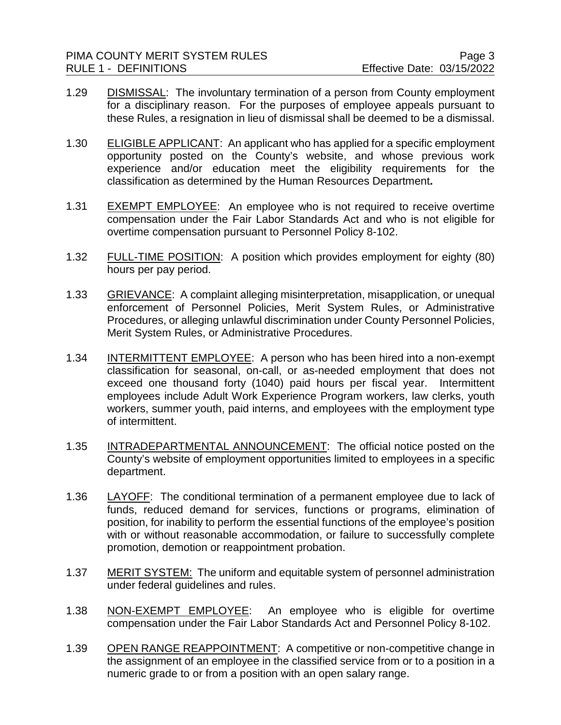- 1.29 DISMISSAL: The involuntary termination of a person from County employment for a disciplinary reason. For the purposes of employee appeals pursuant to these Rules, a resignation in lieu of dismissal shall be deemed to be a dismissal.
- 1.30 ELIGIBLE APPLICANT: An applicant who has applied for a specific employment opportunity posted on the County's website, and whose previous work experience and/or education meet the eligibility requirements for the classification as determined by the Human Resources Department**.**
- 1.31 EXEMPT EMPLOYEE: An employee who is not required to receive overtime compensation under the Fair Labor Standards Act and who is not eligible for overtime compensation pursuant to Personnel Policy 8-102.
- 1.32 FULL-TIME POSITION: A position which provides employment for eighty (80) hours per pay period.
- 1.33 GRIEVANCE: A complaint alleging misinterpretation, misapplication, or unequal enforcement of Personnel Policies, Merit System Rules, or Administrative Procedures, or alleging unlawful discrimination under County Personnel Policies, Merit System Rules, or Administrative Procedures.
- 1.34 INTERMITTENT EMPLOYEE: A person who has been hired into a non-exempt classification for seasonal, on-call, or as-needed employment that does not exceed one thousand forty (1040) paid hours per fiscal year. Intermittent employees include Adult Work Experience Program workers, law clerks, youth workers, summer youth, paid interns, and employees with the employment type of intermittent.
- 1.35 INTRADEPARTMENTAL ANNOUNCEMENT: The official notice posted on the County's website of employment opportunities limited to employees in a specific department.
- 1.36 LAYOFF: The conditional termination of a permanent employee due to lack of funds, reduced demand for services, functions or programs, elimination of position, for inability to perform the essential functions of the employee's position with or without reasonable accommodation, or failure to successfully complete promotion, demotion or reappointment probation.
- 1.37 MERIT SYSTEM: The uniform and equitable system of personnel administration under federal guidelines and rules.
- 1.38 NON-EXEMPT EMPLOYEE: An employee who is eligible for overtime compensation under the Fair Labor Standards Act and Personnel Policy 8-102.
- 1.39 OPEN RANGE REAPPOINTMENT: A competitive or non-competitive change in the assignment of an employee in the classified service from or to a position in a numeric grade to or from a position with an open salary range.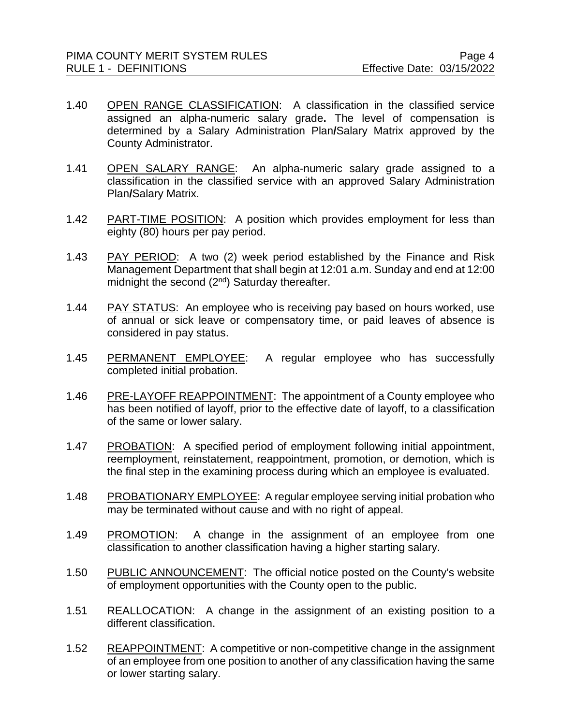- 1.40 OPEN RANGE CLASSIFICATION: A classification in the classified service assigned an alpha-numeric salary grade**.** The level of compensation is determined by a Salary Administration Plan**/**Salary Matrix approved by the County Administrator.
- 1.41 OPEN SALARY RANGE: An alpha-numeric salary grade assigned to a classification in the classified service with an approved Salary Administration Plan**/**Salary Matrix.
- 1.42 PART-TIME POSITION: A position which provides employment for less than eighty (80) hours per pay period.
- 1.43 PAY PERIOD: A two (2) week period established by the Finance and Risk Management Department that shall begin at 12:01 a.m. Sunday and end at 12:00 midnight the second  $(2^{nd})$  Saturday thereafter.
- 1.44 PAY STATUS: An employee who is receiving pay based on hours worked, use of annual or sick leave or compensatory time, or paid leaves of absence is considered in pay status.
- 1.45 PERMANENT EMPLOYEE: A regular employee who has successfully completed initial probation.
- 1.46 PRE-LAYOFF REAPPOINTMENT: The appointment of a County employee who has been notified of layoff, prior to the effective date of layoff, to a classification of the same or lower salary.
- 1.47 PROBATION: A specified period of employment following initial appointment, reemployment, reinstatement, reappointment, promotion, or demotion, which is the final step in the examining process during which an employee is evaluated.
- 1.48 PROBATIONARY EMPLOYEE: A regular employee serving initial probation who may be terminated without cause and with no right of appeal.
- 1.49 PROMOTION: A change in the assignment of an employee from one classification to another classification having a higher starting salary.
- 1.50 PUBLIC ANNOUNCEMENT: The official notice posted on the County's website of employment opportunities with the County open to the public.
- 1.51 REALLOCATION: A change in the assignment of an existing position to a different classification.
- 1.52 REAPPOINTMENT: A competitive or non-competitive change in the assignment of an employee from one position to another of any classification having the same or lower starting salary.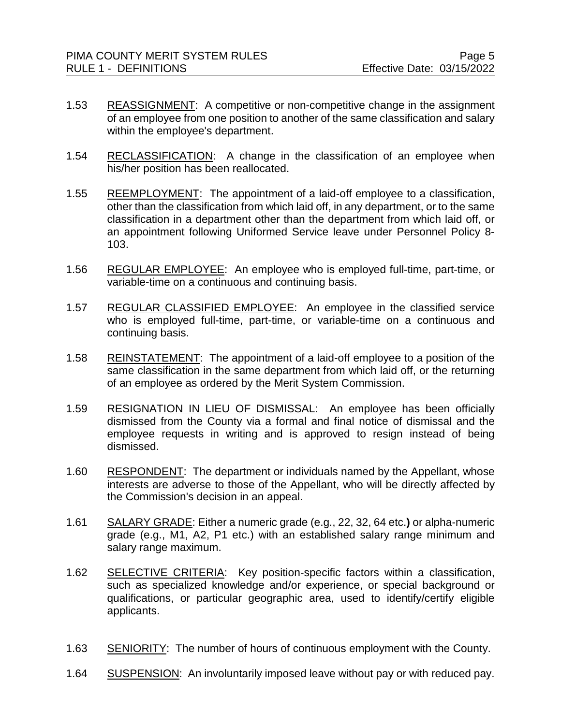- 1.53 REASSIGNMENT: A competitive or non-competitive change in the assignment of an employee from one position to another of the same classification and salary within the employee's department.
- 1.54 RECLASSIFICATION: A change in the classification of an employee when his/her position has been reallocated.
- 1.55 REEMPLOYMENT: The appointment of a laid-off employee to a classification, other than the classification from which laid off, in any department, or to the same classification in a department other than the department from which laid off, or an appointment following Uniformed Service leave under Personnel Policy 8- 103.
- 1.56 REGULAR EMPLOYEE: An employee who is employed full-time, part-time, or variable-time on a continuous and continuing basis.
- 1.57 REGULAR CLASSIFIED EMPLOYEE:An employee in the classified service who is employed full-time, part-time, or variable-time on a continuous and continuing basis.
- 1.58 REINSTATEMENT: The appointment of a laid-off employee to a position of the same classification in the same department from which laid off, or the returning of an employee as ordered by the Merit System Commission.
- 1.59 RESIGNATION IN LIEU OF DISMISSAL: An employee has been officially dismissed from the County via a formal and final notice of dismissal and the employee requests in writing and is approved to resign instead of being dismissed.
- 1.60 RESPONDENT: The department or individuals named by the Appellant, whose interests are adverse to those of the Appellant, who will be directly affected by the Commission's decision in an appeal.
- 1.61 SALARY GRADE: Either a numeric grade (e.g., 22, 32, 64 etc.**)** or alpha-numeric grade (e.g., M1, A2, P1 etc.) with an established salary range minimum and salary range maximum.
- 1.62 SELECTIVE CRITERIA: Key position-specific factors within a classification, such as specialized knowledge and/or experience, or special background or qualifications, or particular geographic area, used to identify/certify eligible applicants.
- 1.63 SENIORITY: The number of hours of continuous employment with the County.
- 1.64 SUSPENSION: An involuntarily imposed leave without pay or with reduced pay.